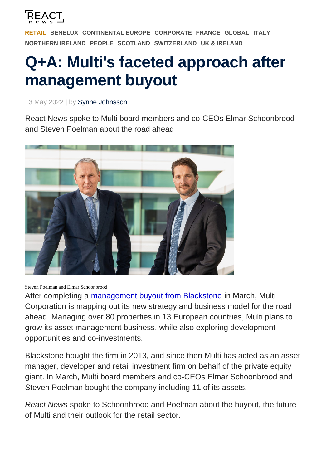

[RETAIL](https://reactnews.com/sector/retail/) [BENELUX](https://reactnews.com/region/benelux/) [CONTINENTAL EUROPE](https://reactnews.com/region/continental-europe/) [CORPORATE](https://reactnews.com/sector/corporate/) [FRANCE](https://reactnews.com/region/france/) [GLOBAL](https://reactnews.com/region/global/) [ITALY](https://reactnews.com/region/italy/) [NORTHERN IRELAND](https://reactnews.com/region/northern-ireland/) [PEOPLE](https://reactnews.com/sector/people/) [SCOTLAND](https://reactnews.com/region/scotland/) [SWITZERLAND](https://reactnews.com/region/switzerland/) [UK & IRELAND](https://reactnews.com/region/united-kingdom-ireland/)

# Q+A: Multi's faceted approach after management buyout

13 May 2022 | by Synne Johnsson

React News spoke to Multi board members and co-CEOs Elmar Schoonbrood and Steven Poelman about the road ahead

Steven Poelman and Elmar Schoonbrood

After completing a [management buyout from Blackstone](https://reactnews.com/article/multi-corporation-board-completes-management-buyout/) in March, Multi Corporation is mapping out its new strategy and business model for the road ahead. Managing over 80 properties in 13 European countries, Multi plans to grow its asset management business, while also exploring development opportunities and co-investments.

Blackstone bought the firm in 2013, and since then Multi has acted as an asset manager, developer and retail investment firm on behalf of the private equity giant. In March, Multi board members and co-CEOs Elmar Schoonbrood and Steven Poelman bought the company including 11 of its assets.

React News spoke to Schoonbrood and Poelman about the buyout, the future of Multi and their outlook for the retail sector.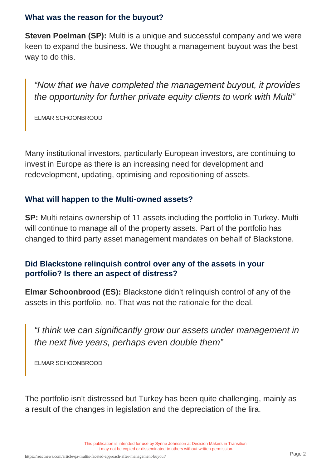#### What was the reason for the buyout?

Steven Poelman (SP): Multi is a unique and successful company and we were keen to expand the business. We thought a management buyout was the best way to do this.

"Now that we have completed the management buyout, it provides the opportunity for further private equity clients to work with Multi"

ELMAR SCHOONBROOD

Many institutional investors, particularly European investors, are continuing to invest in Europe as there is an increasing need for development and redevelopment, updating, optimising and repositioning of assets.

# What will happen to the Multi-owned assets?

SP: Multi retains ownership of 11 assets including the portfolio in Turkey. Multi will continue to manage all of the property assets. Part of the portfolio has changed to third party asset management mandates on behalf of Blackstone.

Did Blackstone relinquish control over any of the assets in your portfolio? Is there an aspect of distress?

Elmar Schoonbrood (ES): Blackstone didn't relinquish control of any of the assets in this portfolio, no. That was not the rationale for the deal.

"I think we can significantly grow our assets under management in the next five years, perhaps even double them"

ELMAR SCHOONBROOD

The portfolio isn't distressed but Turkey has been quite challenging, mainly as a result of the changes in legislation and the depreciation of the lira.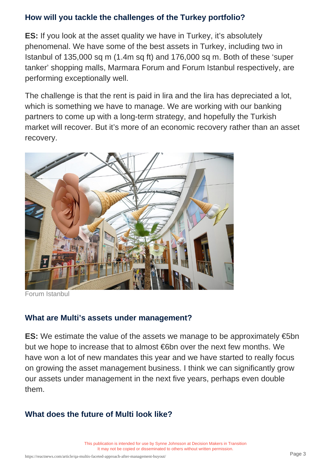# How will you tackle the challenges of the Turkey portfolio?

ES: If you look at the asset quality we have in Turkey, it's absolutely phenomenal. We have some of the best assets in Turkey, including two in Istanbul of 135,000 sq m (1.4m sq ft) and 176,000 sq m. Both of these 'super tanker' shopping malls, Marmara Forum and Forum Istanbul respectively, are performing exceptionally well.

The challenge is that the rent is paid in lira and the lira has depreciated a lot, which is something we have to manage. We are working with our banking partners to come up with a long-term strategy, and hopefully the Turkish market will recover. But it's more of an economic recovery rather than an asset recovery.

Forum Istanbul

# What are Multi's assets under management?

ES: We estimate the value of the assets we manage to be approximately  $\epsilon$ 5bn but we hope to increase that to almost €6bn over the next few months. We have won a lot of new mandates this year and we have started to really focus on growing the asset management business. I think we can significantly grow our assets under management in the next five years, perhaps even double them.

# What does the future of Multi look like?

This publication is intended for use by Synne Johnsson at Decision Makers in Transition It may not be copied or disseminated to others without written permission.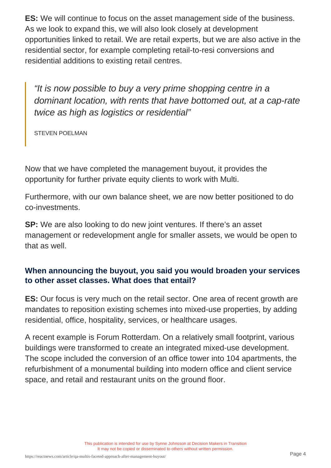ES: We will continue to focus on the asset management side of the business. As we look to expand this, we will also look closely at development opportunities linked to retail. We are retail experts, but we are also active in the residential sector, for example completing retail-to-resi conversions and residential additions to existing retail centres.

"It is now possible to buy a very prime shopping centre in a dominant location, with rents that have bottomed out, at a cap-rate twice as high as logistics or residential"

STEVEN POELMAN

Now that we have completed the management buyout, it provides the opportunity for further private equity clients to work with Multi.

Furthermore, with our own balance sheet, we are now better positioned to do co-investments.

SP: We are also looking to do new joint ventures. If there's an asset management or redevelopment angle for smaller assets, we would be open to that as well.

#### When announcing the buyout, you said you would broaden your services to other asset classes. What does that entail?

ES: Our focus is very much on the retail sector. One area of recent growth are mandates to reposition existing schemes into mixed-use properties, by adding residential, office, hospitality, services, or healthcare usages.

A recent example is Forum Rotterdam. On a relatively small footprint, various buildings were transformed to create an integrated mixed-use development. The scope included the conversion of an office tower into 104 apartments, the refurbishment of a monumental building into modern office and client service space, and retail and restaurant units on the ground floor.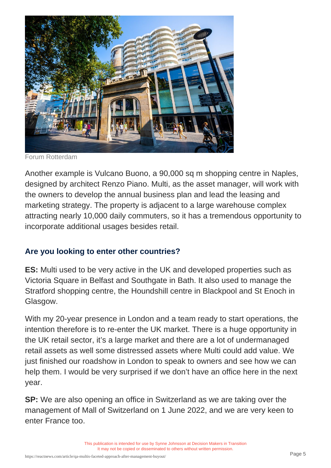#### Forum Rotterdam

Another example is Vulcano Buono, a 90,000 sq m shopping centre in Naples, designed by architect Renzo Piano. Multi, as the asset manager, will work with the owners to develop the annual business plan and lead the leasing and marketing strategy. The property is adjacent to a large warehouse complex attracting nearly 10,000 daily commuters, so it has a tremendous opportunity to incorporate additional usages besides retail.

### Are you looking to enter other countries?

ES: Multi used to be very active in the UK and developed properties such as Victoria Square in Belfast and Southgate in Bath. It also used to manage the Stratford shopping centre, the Houndshill centre in Blackpool and St Enoch in Glasgow.

With my 20-year presence in London and a team ready to start operations, the intention therefore is to re-enter the UK market. There is a huge opportunity in the UK retail sector, it's a large market and there are a lot of undermanaged retail assets as well some distressed assets where Multi could add value. We just finished our roadshow in London to speak to owners and see how we can help them. I would be very surprised if we don't have an office here in the next year.

SP: We are also opening an office in Switzerland as we are taking over the management of Mall of Switzerland on 1 June 2022, and we are very keen to enter France too.